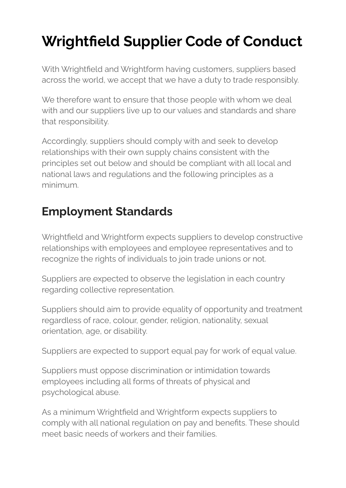# **Wrightfield Supplier Code of Conduct**

With Wrightfield and Wrightform having customers, suppliers based across the world, we accept that we have a duty to trade responsibly.

We therefore want to ensure that those people with whom we deal with and our suppliers live up to our values and standards and share that responsibility.

Accordingly, suppliers should comply with and seek to develop relationships with their own supply chains consistent with the principles set out below and should be compliant with all local and national laws and regulations and the following principles as a minimum.

## **Employment Standards**

Wrightfield and Wrightform expects suppliers to develop constructive relationships with employees and employee representatives and to recognize the rights of individuals to join trade unions or not.

Suppliers are expected to observe the legislation in each country regarding collective representation.

Suppliers should aim to provide equality of opportunity and treatment regardless of race, colour, gender, religion, nationality, sexual orientation, age, or disability.

Suppliers are expected to support equal pay for work of equal value.

Suppliers must oppose discrimination or intimidation towards employees including all forms of threats of physical and psychological abuse.

As a minimum Wrightfield and Wrightform expects suppliers to comply with all national regulation on pay and benefits. These should meet basic needs of workers and their families.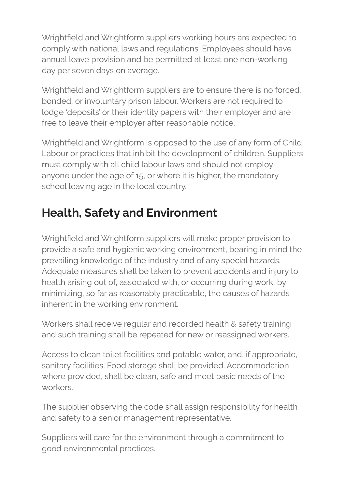Wrightfield and Wrightform suppliers working hours are expected to comply with national laws and regulations. Employees should have annual leave provision and be permitted at least one non-working day per seven days on average.

Wrightfield and Wrightform suppliers are to ensure there is no forced, bonded, or involuntary prison labour. Workers are not required to lodge 'deposits' or their identity papers with their employer and are free to leave their employer after reasonable notice.

Wrightfield and Wrightform is opposed to the use of any form of Child Labour or practices that inhibit the development of children. Suppliers must comply with all child labour laws and should not employ anyone under the age of 15, or where it is higher, the mandatory school leaving age in the local country.

# **Health, Safety and Environment**

Wrightfield and Wrightform suppliers will make proper provision to provide a safe and hygienic working environment, bearing in mind the prevailing knowledge of the industry and of any special hazards. Adequate measures shall be taken to prevent accidents and injury to health arising out of, associated with, or occurring during work, by minimizing, so far as reasonably practicable, the causes of hazards inherent in the working environment.

Workers shall receive regular and recorded health & safety training and such training shall be repeated for new or reassigned workers.

Access to clean toilet facilities and potable water, and, if appropriate, sanitary facilities. Food storage shall be provided. Accommodation, where provided, shall be clean, safe and meet basic needs of the workers.

The supplier observing the code shall assign responsibility for health and safety to a senior management representative.

Suppliers will care for the environment through a commitment to good environmental practices.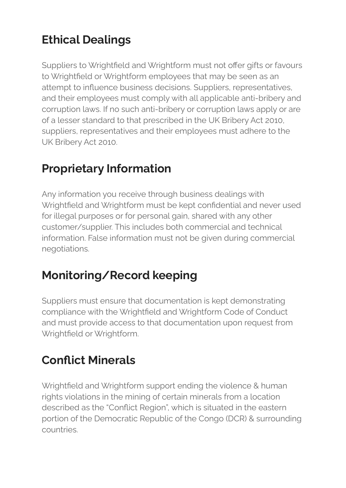# **Ethical Dealings**

Suppliers to Wrightfield and Wrightform must not offer gifts or favours to Wrightfield or Wrightform employees that may be seen as an attempt to influence business decisions. Suppliers, representatives, and their employees must comply with all applicable anti-bribery and corruption laws. If no such anti-bribery or corruption laws apply or are of a lesser standard to that prescribed in the UK Bribery Act 2010, suppliers, representatives and their employees must adhere to the UK Bribery Act 2010.

#### **Proprietary Information**

Any information you receive through business dealings with Wrightfield and Wrightform must be kept confidential and never used for illegal purposes or for personal gain, shared with any other customer/supplier. This includes both commercial and technical information. False information must not be given during commercial negotiations.

#### **Monitoring/Record keeping**

Suppliers must ensure that documentation is kept demonstrating compliance with the Wrightfield and Wrightform Code of Conduct and must provide access to that documentation upon request from Wrightfield or Wrightform.

#### **Conflict Minerals**

Wrightfield and Wrightform support ending the violence & human rights violations in the mining of certain minerals from a location described as the "Conflict Region", which is situated in the eastern portion of the Democratic Republic of the Congo (DCR) & surrounding countries.